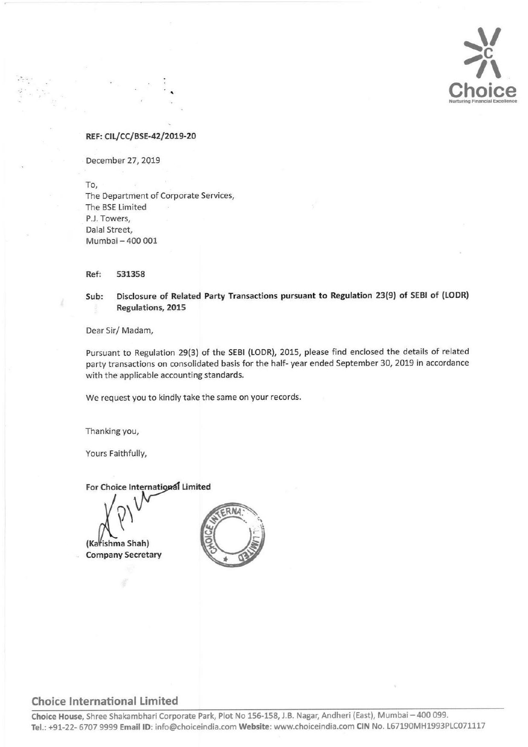

#### REF: CIL/CC/BSE-42/2019-20

December 27, 2019

To, The Department of Corporate Services, The BSE Limited P.J. Towers, Dalal Street, Mumbai — 400 001

Ref: 531358

Sub: Disclosure of Related Party Transactions pursuant to Regulation 23(9) of SEBI of (LODR) Regulations, 2015

Dear Sir/ Madam,

Pursuant to Regulation 29(3) of the SEBI (LODR), 2015, please find enclosed the details of related party transactions on consolidated basis for the half- year ended September 30, 2019 in accordance with the applicable accounting standards.

We request you to kindly take the same on your records.

Thanking you,

Yours Faithfully,

For Choice International Limited

(Karishma Shah)

**Company Secretary** 

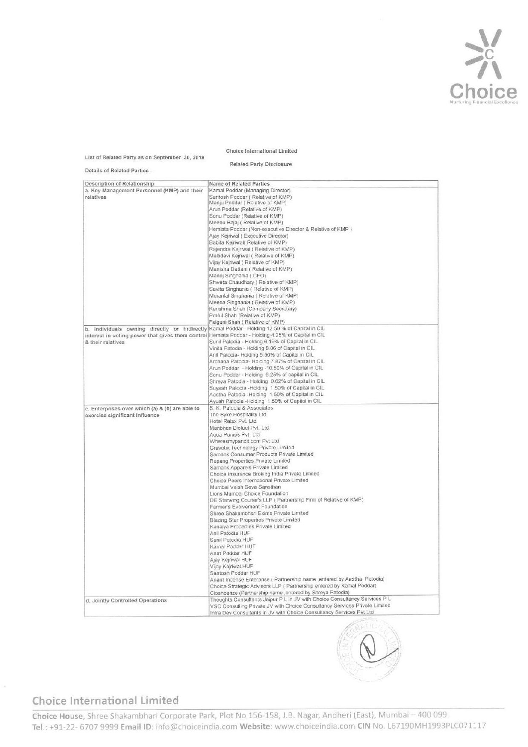

#### Choice international Limited

|                                                                                                                                                                                                    | Choice International Limited                                                                                                                                                                                                     |
|----------------------------------------------------------------------------------------------------------------------------------------------------------------------------------------------------|----------------------------------------------------------------------------------------------------------------------------------------------------------------------------------------------------------------------------------|
| List of Related Party as on September 30, 2019                                                                                                                                                     | <b>Related Party Disclosure</b>                                                                                                                                                                                                  |
| Details of Related Parties -                                                                                                                                                                       |                                                                                                                                                                                                                                  |
| Description of Relationship<br>a. Key Management Personnel (KMP) and their                                                                                                                         | Name of Related Parties<br>Kamal Poddar (Managing Director)                                                                                                                                                                      |
| relatives                                                                                                                                                                                          | Santosh Poddar (Relative of KMP)<br>Manju Poddar (Relative of KMP)                                                                                                                                                               |
|                                                                                                                                                                                                    | Arun Poddar (Relative of KMP)<br>Sonu Poddar (Relative of KMP)                                                                                                                                                                   |
|                                                                                                                                                                                                    | Meenu Bajaj (Relative of KMP)<br>Hemlata Poddar (Non-executive Director & Relative of KMP)                                                                                                                                       |
|                                                                                                                                                                                                    | Ajay Kejriwal (Executive Director)<br>Babita Kejriwal( Relative of KMP)                                                                                                                                                          |
|                                                                                                                                                                                                    | Rajendra Kejriwal (Relative of KMP)<br>Maltidevi Kejriwal (Relative of KMP)                                                                                                                                                      |
|                                                                                                                                                                                                    | Vijay Kejriwal (Relative of KMP)<br>Manisha Dattani (Relative of KMP)                                                                                                                                                            |
|                                                                                                                                                                                                    | Manoj Singhania ( CFO)<br>Shweta Chaudhary (Relative of KMP)                                                                                                                                                                     |
|                                                                                                                                                                                                    | Savita Singhania (Relative of KMP)<br>Murarilal Singhania (Relative of KMP)                                                                                                                                                      |
|                                                                                                                                                                                                    | Meena Singhania (Relative of KMP)<br>Karishma Shah (Company Secretary)                                                                                                                                                           |
|                                                                                                                                                                                                    | Praful Shah (Relative of KMP)<br>Falguni Shah (Relative of KMP)                                                                                                                                                                  |
| b. Individuals owning directly or indirectly Kamal Poddar - Holding 12.50 % of Capital in CIL<br>interest in voting power that gives them control Hemiata Poddar - Holding 4.25% of Capital in CIL |                                                                                                                                                                                                                                  |
| & their relatives                                                                                                                                                                                  | Sunil Patodia - Holding 6.19% of Capital in CIL<br>Vinita Patodia - Holding 8.06 of Capital in CIL                                                                                                                               |
|                                                                                                                                                                                                    | Anil Patodia-Holding 5.50% of Capital in CIL<br>Archana Patodia- Holding 7.87% of Capital in CIL                                                                                                                                 |
|                                                                                                                                                                                                    | Arun Poddar - Holding -10.50% of Capital in CIL<br>Sonu Poddar - Holding 6.25% of capital in CIL                                                                                                                                 |
|                                                                                                                                                                                                    | Shreya Patodia - Holding 0.62% of Capital in CIL<br>Suyash Patodia - Holding 1.50% of Capital in CIL<br>Aastha Patodia -Holding 1.50% of Capital in CIL                                                                          |
|                                                                                                                                                                                                    | Ayush Patodia -Holding 1.50% of Capital in CIL<br>S. K. Patodia & Associates                                                                                                                                                     |
| c. Enterprises over which (a) & (b) are able to<br>exercise significant influence                                                                                                                  | The Byke Hospitality Ltd.<br>Hotel Relax Pvt. Ltd.                                                                                                                                                                               |
|                                                                                                                                                                                                    | Manbhari Biofuel Pvt. Ltd.<br>Aqua Pumps Pvt. Ltd.                                                                                                                                                                               |
|                                                                                                                                                                                                    | Wheresmypandit.com Pvt Ltd<br>Gravotix Technology Private Limited                                                                                                                                                                |
|                                                                                                                                                                                                    | Samank Consumer Products Private Limited<br>Rupang Properties Private Limited                                                                                                                                                    |
|                                                                                                                                                                                                    | Samank Apparels Private Limited<br>Choice Insurance Broking India Private Limited                                                                                                                                                |
|                                                                                                                                                                                                    | Choice Peers International Private Limited<br>Mumbai Vaish Seva Sansthan                                                                                                                                                         |
|                                                                                                                                                                                                    | Lions Mumbai Choice Foundation<br>DE Starwing Couner's LLP ( Partnership Firm of Relative of KMP)                                                                                                                                |
|                                                                                                                                                                                                    | Farmer's Evolvement Foundation<br>Shree Shakambhari Exims Private Limited                                                                                                                                                        |
|                                                                                                                                                                                                    | Blazing Star Properties Private Limited<br>Kanaiya Properties Private Limited                                                                                                                                                    |
|                                                                                                                                                                                                    | Anil Patodia HUF<br>Sunil Patodia HUF                                                                                                                                                                                            |
|                                                                                                                                                                                                    | Kamal Poddar HUF<br>Arun Poddar HUF                                                                                                                                                                                              |
|                                                                                                                                                                                                    | Ajay Kejmwal HUF<br>Vijay Kejriwal HUF                                                                                                                                                                                           |
|                                                                                                                                                                                                    | Santosh Poddar HUF<br>Anant Incense Enterprise (Partnership name , entered by Aastha Patodia)                                                                                                                                    |
|                                                                                                                                                                                                    | Choice Strategic Advisors LLP ( Partnership entered by Kamal Poddar)<br>Closhoerize (Partnership name , entered by Shreya Patodia)                                                                                               |
|                                                                                                                                                                                                    |                                                                                                                                                                                                                                  |
| d. Jointly Controlled Operations                                                                                                                                                                   | Thoughts Consultants Jaipur P L in JV with Choice Consultancy Services P L<br>VSC Consulting Private JV with Choice Consultancy Services Private Limited<br>Infra Dev Consultants in JV with Choice Consultancy Services Pvt Ltd |

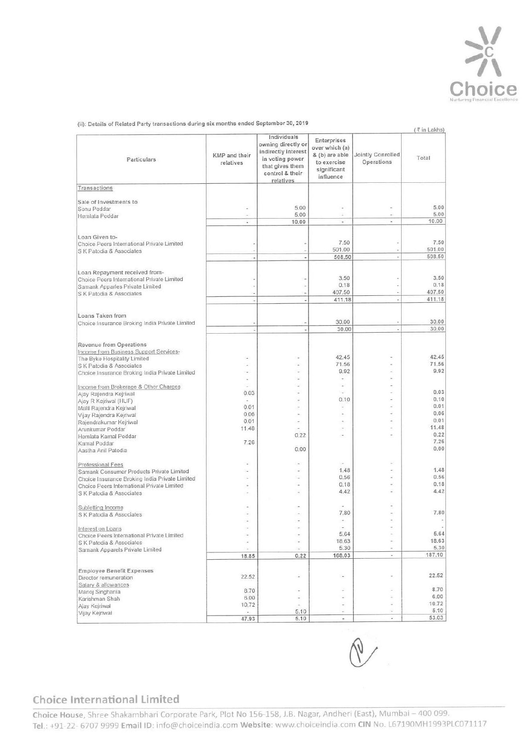

| (ii): Details of Related Party transactions during six months ended September 30, 2019                                                   |                            |                                                           |                                                              |                                                      | (₹ in Lakhs)             |
|------------------------------------------------------------------------------------------------------------------------------------------|----------------------------|-----------------------------------------------------------|--------------------------------------------------------------|------------------------------------------------------|--------------------------|
| Particulars                                                                                                                              |                            | Individuals<br>owning directly or                         | Enterprises<br>over which (a)                                |                                                      |                          |
|                                                                                                                                          | KMP and their<br>relatives | indirectly interest<br>in voting power<br>that gives them | & (b) are able<br>to exercise<br>significant                 | Jointly Conrolled<br>Operations                      | Total                    |
| Transactions                                                                                                                             |                            | control & their<br>relatives                              | influence                                                    |                                                      |                          |
| Sale of Investments to<br>Sonu Poddar                                                                                                    |                            | 5.00                                                      | $\overline{\phantom{a}}$                                     | ÷                                                    | 5.00                     |
| Hemlata Poddar                                                                                                                           | ÷.<br>$\omega$             | 5.00<br>10.00                                             | $\overline{\phantom{a}}$<br>$\overline{\phantom{a}}$         | $\overline{\phantom{a}}$<br>$\overline{\phantom{a}}$ | 5.00<br>10.00            |
| Loan Given to-<br>Choice Peers International Private Limited                                                                             |                            |                                                           | 7.50                                                         | ä                                                    | 7.50                     |
| S K Patodia & Associates                                                                                                                 |                            |                                                           | 501.00<br>508.50                                             | ä,                                                   | 501.00<br>508.50         |
| Loan Repayment received from-<br>Choice Peers International Private Limited                                                              |                            |                                                           | 3.50                                                         |                                                      | 3.50                     |
| Samank Apparles Private Limited<br>S K Patodia & Associates                                                                              |                            |                                                           | 0.18<br>407.50<br>411.18                                     | ٠<br>i.                                              | 0.18<br>407.50<br>411.18 |
| Loans Taken from                                                                                                                         |                            |                                                           | 30.00                                                        |                                                      | 30.00                    |
| Choice Insurance Broking India Private Limited                                                                                           |                            |                                                           | 30.00                                                        | i,                                                   | 30.00                    |
| Revenue from Operations<br>Income from Business Support Services-<br>The Byke Hospitality Limited                                        | u                          |                                                           | 42.45                                                        |                                                      | 42.45                    |
| S K Patodia & Associates<br>Choice Insurance Broking India Private Limited                                                               | ۰.                         | $\overline{a}$                                            | 71.56<br>9.92<br>$\overline{\phantom{a}}$                    | ٠<br>٠<br>٠                                          | 71.56<br>9.92            |
| Income from Brokerage & Other Charges<br>Ajay Rajendra Kejriwal                                                                          | $\sim$<br>÷<br>0.03        | $\sim$                                                    | $\sim$<br>÷                                                  | ÷<br>$\sim$                                          | 0.03                     |
| Ajay R Kejriwal (HUF)<br>Malti Rajendra Kejriwal                                                                                         | $\omega$<br>0.01<br>0.06   | $\sim$<br>×                                               | 0.10<br>$\overline{\phantom{a}}$<br>$\overline{\phantom{a}}$ | ÷.<br>ä,<br>÷                                        | 0.10<br>0.01<br>0.06     |
| Vijay Rajendra Kejriwal<br>Rajendrakumar Kejriwal<br>Arunkumar Poddar                                                                    | 0.01<br>11.48              | $\sim$<br>$\sim$                                          | $\sim$<br>$\overline{\phantom{a}}$                           | ×<br>÷                                               | 0.01<br>11.48            |
| Hemlata Kamal Poddar<br>Kamal Poddar                                                                                                     | 7.26                       | 0.22<br>0.00                                              | ÷                                                            | ÷                                                    | 0.22<br>7.26<br>0.00     |
| Aastha Anil Patodia<br>Professional Fees                                                                                                 | i.                         | $\sim$                                                    | $\sim$                                                       | w.                                                   |                          |
| Samank Consumer Products Private Limited<br>Choice Insurance Broking India Private Limited<br>Choice Peers International Private Limited | c.<br>×<br>÷               | ٠<br>÷.<br>٠                                              | 1.48<br>0.56<br>0.18                                         | $\sim$<br>$\sim$<br>a.                               | 1.48<br>0.56<br>0.18     |
| S K Patodia & Associates                                                                                                                 | $\overline{\phantom{a}}$   | $\omega$                                                  | 4.42                                                         | w.                                                   | 4.42                     |
| Subletting Income<br>S K Patodia & Associates                                                                                            | ÷<br>÷                     | ä,<br>×.<br>۷                                             | $\sim$<br>7,80<br>$\sim$                                     | ÷<br>$\sim$                                          | 7.80                     |
| Interest on Loans<br>Choice Peers International Private Limited                                                                          | ÷                          | $\sim$                                                    | $\sim$<br>5.64                                               | $\sim$<br>×                                          | $\sim$<br>5.64           |
| S K Patodia & Associates<br>Samank Apparels Private Limited                                                                              | ×,<br>×,<br>18.85          | ×,<br>$\overline{\phantom{a}}$<br>0.22                    | 18.63<br>5.30<br>168.03                                      | ÷<br>$\sim$<br>٠                                     | 18.63<br>5,30<br>187.10  |
| <b>Employee Benefit Expenses</b>                                                                                                         | 22.52                      | $\overline{\phantom{a}}$                                  | $\overline{\phantom{a}}$                                     | $\sim$                                               | 22.52                    |
| Director remuneration<br>Salary & allowances                                                                                             | 8.70                       | ×,                                                        | ÷                                                            |                                                      | 8.70                     |
| Manoj Singhania                                                                                                                          |                            | $\overline{\phantom{a}}$                                  | $\sim$                                                       | s.                                                   | 6.00                     |
| Karishman Shah<br>Ajay Kejriwal<br>Vijay Kejriwal                                                                                        | 6.00<br>10.72<br>$\sim$    | $\overline{\phantom{a}}$<br>5.10                          | $\overline{\phantom{a}}$<br>$\ddot{\phantom{0}}$             | $\overline{\phantom{a}}$<br>×                        | 10.72<br>5.10            |

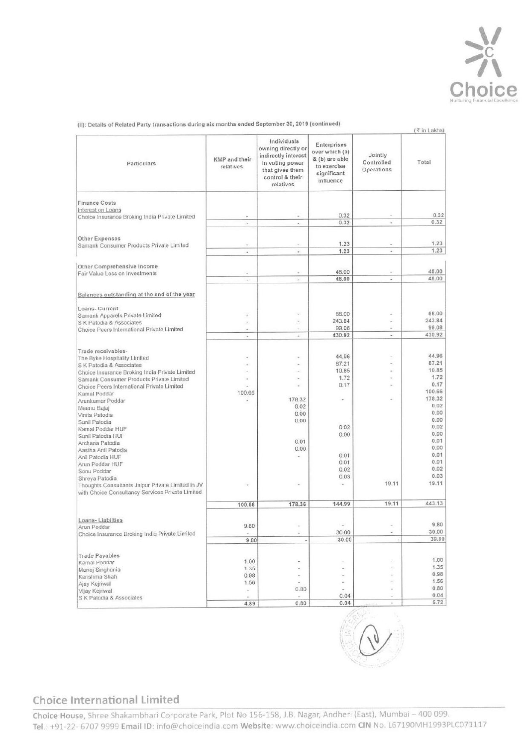

(ii): Details of Related Party transactions during six months ended September 30, 2019 (continued) (ii): Details of Related Party transactions during six months ended S

| (ii): Details of Related Party transactions during six months ended September 30, 2019 (continued)                                       |                            |                                                                                                                                |                                                                                            |                                     |
|------------------------------------------------------------------------------------------------------------------------------------------|----------------------------|--------------------------------------------------------------------------------------------------------------------------------|--------------------------------------------------------------------------------------------|-------------------------------------|
| Particulars                                                                                                                              | KMP and their<br>relatives | Individuals<br>owning directly or<br>indirectly interest<br>in voting power<br>that gives them<br>control & their<br>relatives | Enterprises<br>over which (a)<br>& (b) are able<br>to exercise<br>significant<br>influence | Jointly<br>Controlled<br>Operations |
| <b>Finance Costs</b>                                                                                                                     |                            |                                                                                                                                |                                                                                            |                                     |
| Interest on Loans<br>Choice Insurance Broking India Private Limited                                                                      |                            | $\sim$                                                                                                                         | 0.32<br>0.32                                                                               |                                     |
| Other Expenses<br>Samank Consumer Products Private Limited                                                                               | ۰                          | $\overline{a}$                                                                                                                 | 1.23                                                                                       |                                     |
| Other Comprehensive Income                                                                                                               | ٠                          | ÷,                                                                                                                             | 1.23                                                                                       | ٠                                   |
| Fair Value Loss on Investments                                                                                                           | ٠<br>$\bullet$             | ÷<br>$\blacksquare$                                                                                                            | 48.00<br>48.00                                                                             | ٠<br>$\sim$                         |
| Balances outstanding at the end of the year                                                                                              |                            |                                                                                                                                |                                                                                            |                                     |
| Loans- Current<br>Samank Apparels Private Limited<br>S K Patodia & Associates                                                            | ٠<br>٠                     | u,<br>ä,                                                                                                                       | 88.00<br>243.84                                                                            | ÷                                   |
| Choice Peers International Private Limited                                                                                               | ä,<br>÷                    | a,<br>۰                                                                                                                        | 99.08<br>430.92                                                                            | ÷<br>$\omega$                       |
| Trade receivables-<br>The Byke Hospitality Limited<br>S K Patodia & Associates                                                           |                            | ٠<br>$\frac{1}{2}$                                                                                                             | 44.96<br>87.21                                                                             | ٠<br>z                              |
| Choice Insurance Broking India Private Limited<br>Samank Consumer Products Private Limited<br>Choice Peers International Private Limited | J.<br>i,                   | ٠<br>u,<br>i.                                                                                                                  | 10.85<br>1.72<br>0.17                                                                      | ÷<br>٠                              |
| Kamal Poddar<br>Arunkumar Poddar                                                                                                         | 100.66<br>ä,               | 178.32                                                                                                                         | $\overline{\phantom{a}}$                                                                   | u                                   |
| Meenu Bajaj<br>Vinita Patodia<br>Sunil Patodia                                                                                           |                            | 0.02<br>0.00<br>0.00                                                                                                           |                                                                                            |                                     |
| Kamal Poddar HUF<br>Sunil Patodia HUF                                                                                                    |                            | 0.01                                                                                                                           | 0.02<br>0.00                                                                               |                                     |
| Archana Patodia<br>Aastha Anil Patodia<br>Anil Patodia HUF                                                                               |                            | 0.00<br>2                                                                                                                      | 0.01                                                                                       |                                     |
| Arun Poddar HUF<br>Sonu Poddar<br>Shreya Patodia                                                                                         |                            |                                                                                                                                | 0.01<br>0.02<br>0.03                                                                       |                                     |
| Thoughts Consultants Jaipur Private Limited in JV<br>with Choice Consultancy Services Private Limited                                    |                            |                                                                                                                                | ×.                                                                                         | 19.11                               |
|                                                                                                                                          | 100.66                     | 178.36                                                                                                                         | 144.99                                                                                     | 19.11                               |
| Loans-Liabilties<br>Arun Poddar<br>Choice Insurance Broking India Private Limited                                                        | 9.80                       | $\sim$<br>÷                                                                                                                    | i,<br>30.00                                                                                | $\overline{a}$<br>$\sim$            |
| <b>Trade Payables</b>                                                                                                                    | 9.80                       |                                                                                                                                | 30.00                                                                                      | i,                                  |
| Kamal Poddar<br>Manoj Singhania                                                                                                          | 1.00<br>1.35<br>0.98       | ÷<br>÷<br>۷                                                                                                                    | ٠<br>ä,<br>÷,                                                                              |                                     |
| Karishma Shah<br>Ajay Kejriwal<br>Vijay Kejriwal                                                                                         | 1.56<br>$\sim$             | 0.80                                                                                                                           | ì.<br>٠                                                                                    | ÷                                   |
| S K Patodia & Associates                                                                                                                 | 4.89                       | $\overline{\phantom{a}}$<br>0.80                                                                                               | 0.04<br>0.04                                                                               | ٠<br>ç.                             |